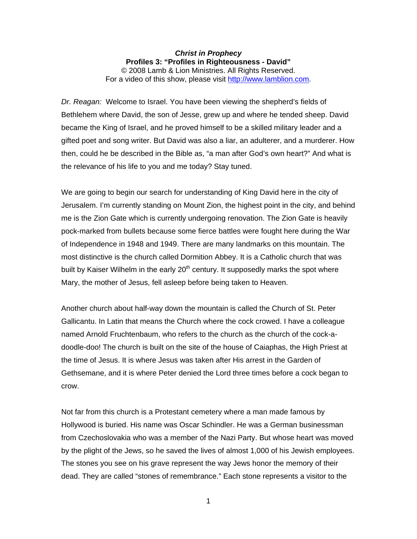## *Christ in Prophecy*  **Profiles 3: "Profiles in Righteousness - David"**  © 2008 Lamb & Lion Ministries. All Rights Reserved. For a video of this show, please visit [http://www.lamblion.com.](http://www.lamblion.com/)

*Dr. Reagan:* Welcome to Israel. You have been viewing the shepherd's fields of Bethlehem where David, the son of Jesse, grew up and where he tended sheep. David became the King of Israel, and he proved himself to be a skilled military leader and a gifted poet and song writer. But David was also a liar, an adulterer, and a murderer. How then, could he be described in the Bible as, "a man after God's own heart?" And what is the relevance of his life to you and me today? Stay tuned.

We are going to begin our search for understanding of King David here in the city of Jerusalem. I'm currently standing on Mount Zion, the highest point in the city, and behind me is the Zion Gate which is currently undergoing renovation. The Zion Gate is heavily pock-marked from bullets because some fierce battles were fought here during the War of Independence in 1948 and 1949. There are many landmarks on this mountain. The most distinctive is the church called Dormition Abbey. It is a Catholic church that was built by Kaiser Wilhelm in the early 20<sup>th</sup> century. It supposedly marks the spot where Mary, the mother of Jesus, fell asleep before being taken to Heaven.

Another church about half-way down the mountain is called the Church of St. Peter Gallicantu. In Latin that means the Church where the cock crowed. I have a colleague named Arnold Fruchtenbaum, who refers to the church as the church of the cock-adoodle-doo! The church is built on the site of the house of Caiaphas, the High Priest at the time of Jesus. It is where Jesus was taken after His arrest in the Garden of Gethsemane, and it is where Peter denied the Lord three times before a cock began to crow.

Not far from this church is a Protestant cemetery where a man made famous by Hollywood is buried. His name was Oscar Schindler. He was a German businessman from Czechoslovakia who was a member of the Nazi Party. But whose heart was moved by the plight of the Jews, so he saved the lives of almost 1,000 of his Jewish employees. The stones you see on his grave represent the way Jews honor the memory of their dead. They are called "stones of remembrance." Each stone represents a visitor to the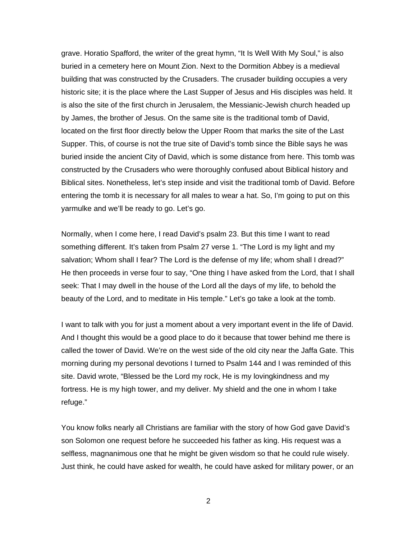grave. Horatio Spafford, the writer of the great hymn, "It Is Well With My Soul," is also buried in a cemetery here on Mount Zion. Next to the Dormition Abbey is a medieval building that was constructed by the Crusaders. The crusader building occupies a very historic site; it is the place where the Last Supper of Jesus and His disciples was held. It is also the site of the first church in Jerusalem, the Messianic-Jewish church headed up by James, the brother of Jesus. On the same site is the traditional tomb of David, located on the first floor directly below the Upper Room that marks the site of the Last Supper. This, of course is not the true site of David's tomb since the Bible says he was buried inside the ancient City of David, which is some distance from here. This tomb was constructed by the Crusaders who were thoroughly confused about Biblical history and Biblical sites. Nonetheless, let's step inside and visit the traditional tomb of David. Before entering the tomb it is necessary for all males to wear a hat. So, I'm going to put on this yarmulke and we'll be ready to go. Let's go.

Normally, when I come here, I read David's psalm 23. But this time I want to read something different. It's taken from Psalm 27 verse 1. "The Lord is my light and my salvation; Whom shall I fear? The Lord is the defense of my life; whom shall I dread?" He then proceeds in verse four to say, "One thing I have asked from the Lord, that I shall seek: That I may dwell in the house of the Lord all the days of my life, to behold the beauty of the Lord, and to meditate in His temple." Let's go take a look at the tomb.

I want to talk with you for just a moment about a very important event in the life of David. And I thought this would be a good place to do it because that tower behind me there is called the tower of David. We're on the west side of the old city near the Jaffa Gate. This morning during my personal devotions I turned to Psalm 144 and I was reminded of this site. David wrote, "Blessed be the Lord my rock, He is my lovingkindness and my fortress. He is my high tower, and my deliver. My shield and the one in whom I take refuge."

You know folks nearly all Christians are familiar with the story of how God gave David's son Solomon one request before he succeeded his father as king. His request was a selfless, magnanimous one that he might be given wisdom so that he could rule wisely. Just think, he could have asked for wealth, he could have asked for military power, or an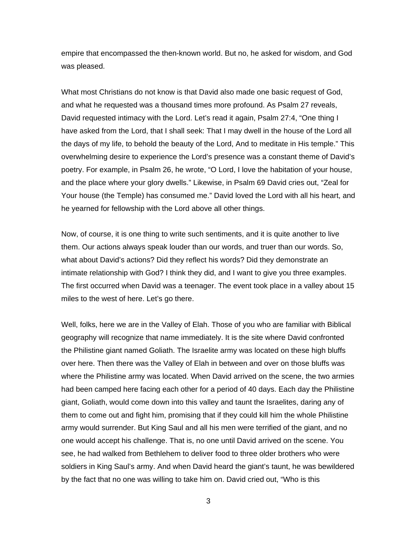empire that encompassed the then-known world. But no, he asked for wisdom, and God was pleased.

What most Christians do not know is that David also made one basic request of God, and what he requested was a thousand times more profound. As Psalm 27 reveals, David requested intimacy with the Lord. Let's read it again, Psalm 27:4, "One thing I have asked from the Lord, that I shall seek: That I may dwell in the house of the Lord all the days of my life, to behold the beauty of the Lord, And to meditate in His temple." This overwhelming desire to experience the Lord's presence was a constant theme of David's poetry. For example, in Psalm 26, he wrote, "O Lord, I love the habitation of your house, and the place where your glory dwells." Likewise, in Psalm 69 David cries out, "Zeal for Your house (the Temple) has consumed me." David loved the Lord with all his heart, and he yearned for fellowship with the Lord above all other things.

Now, of course, it is one thing to write such sentiments, and it is quite another to live them. Our actions always speak louder than our words, and truer than our words. So, what about David's actions? Did they reflect his words? Did they demonstrate an intimate relationship with God? I think they did, and I want to give you three examples. The first occurred when David was a teenager. The event took place in a valley about 15 miles to the west of here. Let's go there.

Well, folks, here we are in the Valley of Elah. Those of you who are familiar with Biblical geography will recognize that name immediately. It is the site where David confronted the Philistine giant named Goliath. The Israelite army was located on these high bluffs over here. Then there was the Valley of Elah in between and over on those bluffs was where the Philistine army was located. When David arrived on the scene, the two armies had been camped here facing each other for a period of 40 days. Each day the Philistine giant, Goliath, would come down into this valley and taunt the Israelites, daring any of them to come out and fight him, promising that if they could kill him the whole Philistine army would surrender. But King Saul and all his men were terrified of the giant, and no one would accept his challenge. That is, no one until David arrived on the scene. You see, he had walked from Bethlehem to deliver food to three older brothers who were soldiers in King Saul's army. And when David heard the giant's taunt, he was bewildered by the fact that no one was willing to take him on. David cried out, "Who is this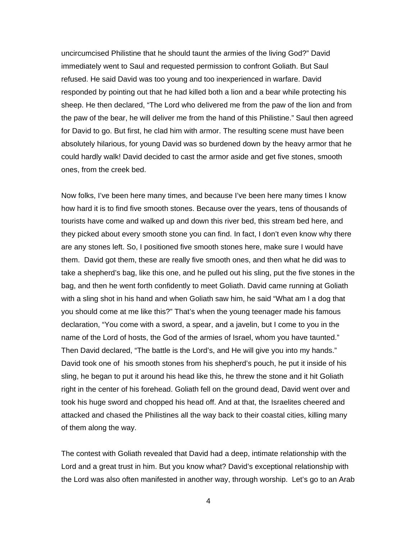uncircumcised Philistine that he should taunt the armies of the living God?" David immediately went to Saul and requested permission to confront Goliath. But Saul refused. He said David was too young and too inexperienced in warfare. David responded by pointing out that he had killed both a lion and a bear while protecting his sheep. He then declared, "The Lord who delivered me from the paw of the lion and from the paw of the bear, he will deliver me from the hand of this Philistine." Saul then agreed for David to go. But first, he clad him with armor. The resulting scene must have been absolutely hilarious, for young David was so burdened down by the heavy armor that he could hardly walk! David decided to cast the armor aside and get five stones, smooth ones, from the creek bed.

Now folks, I've been here many times, and because I've been here many times I know how hard it is to find five smooth stones. Because over the years, tens of thousands of tourists have come and walked up and down this river bed, this stream bed here, and they picked about every smooth stone you can find. In fact, I don't even know why there are any stones left. So, I positioned five smooth stones here, make sure I would have them. David got them, these are really five smooth ones, and then what he did was to take a shepherd's bag, like this one, and he pulled out his sling, put the five stones in the bag, and then he went forth confidently to meet Goliath. David came running at Goliath with a sling shot in his hand and when Goliath saw him, he said "What am I a dog that you should come at me like this?" That's when the young teenager made his famous declaration, "You come with a sword, a spear, and a javelin, but I come to you in the name of the Lord of hosts, the God of the armies of Israel, whom you have taunted." Then David declared, "The battle is the Lord's, and He will give you into my hands." David took one of his smooth stones from his shepherd's pouch, he put it inside of his sling, he began to put it around his head like this, he threw the stone and it hit Goliath right in the center of his forehead. Goliath fell on the ground dead, David went over and took his huge sword and chopped his head off. And at that, the Israelites cheered and attacked and chased the Philistines all the way back to their coastal cities, killing many of them along the way.

The contest with Goliath revealed that David had a deep, intimate relationship with the Lord and a great trust in him. But you know what? David's exceptional relationship with the Lord was also often manifested in another way, through worship. Let's go to an Arab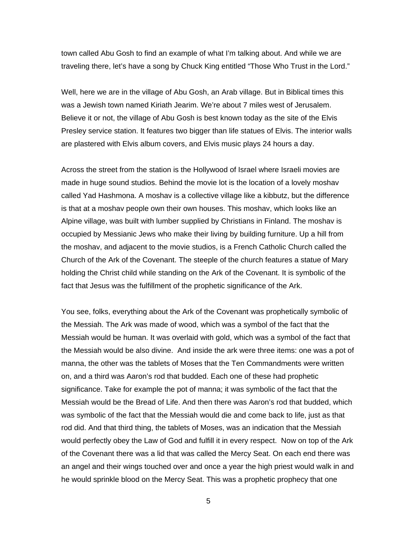town called Abu Gosh to find an example of what I'm talking about. And while we are traveling there, let's have a song by Chuck King entitled "Those Who Trust in the Lord."

Well, here we are in the village of Abu Gosh, an Arab village. But in Biblical times this was a Jewish town named Kiriath Jearim. We're about 7 miles west of Jerusalem. Believe it or not, the village of Abu Gosh is best known today as the site of the Elvis Presley service station. It features two bigger than life statues of Elvis. The interior walls are plastered with Elvis album covers, and Elvis music plays 24 hours a day.

Across the street from the station is the Hollywood of Israel where Israeli movies are made in huge sound studios. Behind the movie lot is the location of a lovely moshav called Yad Hashmona. A moshav is a collective village like a kibbutz, but the difference is that at a moshav people own their own houses. This moshav, which looks like an Alpine village, was built with lumber supplied by Christians in Finland. The moshav is occupied by Messianic Jews who make their living by building furniture. Up a hill from the moshav, and adjacent to the movie studios, is a French Catholic Church called the Church of the Ark of the Covenant. The steeple of the church features a statue of Mary holding the Christ child while standing on the Ark of the Covenant. It is symbolic of the fact that Jesus was the fulfillment of the prophetic significance of the Ark.

You see, folks, everything about the Ark of the Covenant was prophetically symbolic of the Messiah. The Ark was made of wood, which was a symbol of the fact that the Messiah would be human. It was overlaid with gold, which was a symbol of the fact that the Messiah would be also divine. And inside the ark were three items: one was a pot of manna, the other was the tablets of Moses that the Ten Commandments were written on, and a third was Aaron's rod that budded. Each one of these had prophetic significance. Take for example the pot of manna; it was symbolic of the fact that the Messiah would be the Bread of Life. And then there was Aaron's rod that budded, which was symbolic of the fact that the Messiah would die and come back to life, just as that rod did. And that third thing, the tablets of Moses, was an indication that the Messiah would perfectly obey the Law of God and fulfill it in every respect. Now on top of the Ark of the Covenant there was a lid that was called the Mercy Seat. On each end there was an angel and their wings touched over and once a year the high priest would walk in and he would sprinkle blood on the Mercy Seat. This was a prophetic prophecy that one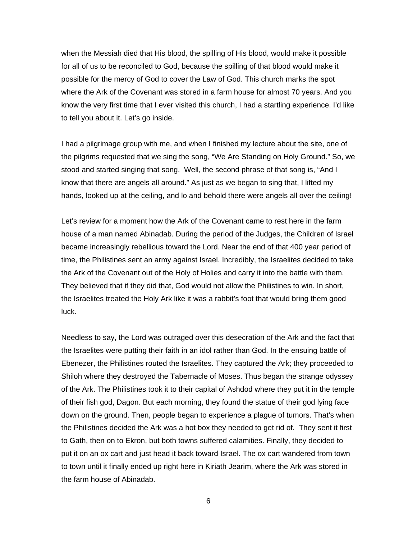when the Messiah died that His blood, the spilling of His blood, would make it possible for all of us to be reconciled to God, because the spilling of that blood would make it possible for the mercy of God to cover the Law of God. This church marks the spot where the Ark of the Covenant was stored in a farm house for almost 70 years. And you know the very first time that I ever visited this church, I had a startling experience. I'd like to tell you about it. Let's go inside.

I had a pilgrimage group with me, and when I finished my lecture about the site, one of the pilgrims requested that we sing the song, "We Are Standing on Holy Ground." So, we stood and started singing that song. Well, the second phrase of that song is, "And I know that there are angels all around." As just as we began to sing that, I lifted my hands, looked up at the ceiling, and lo and behold there were angels all over the ceiling!

Let's review for a moment how the Ark of the Covenant came to rest here in the farm house of a man named Abinadab. During the period of the Judges, the Children of Israel became increasingly rebellious toward the Lord. Near the end of that 400 year period of time, the Philistines sent an army against Israel. Incredibly, the Israelites decided to take the Ark of the Covenant out of the Holy of Holies and carry it into the battle with them. They believed that if they did that, God would not allow the Philistines to win. In short, the Israelites treated the Holy Ark like it was a rabbit's foot that would bring them good luck.

Needless to say, the Lord was outraged over this desecration of the Ark and the fact that the Israelites were putting their faith in an idol rather than God. In the ensuing battle of Ebenezer, the Philistines routed the Israelites. They captured the Ark; they proceeded to Shiloh where they destroyed the Tabernacle of Moses. Thus began the strange odyssey of the Ark. The Philistines took it to their capital of Ashdod where they put it in the temple of their fish god, Dagon. But each morning, they found the statue of their god lying face down on the ground. Then, people began to experience a plague of tumors. That's when the Philistines decided the Ark was a hot box they needed to get rid of. They sent it first to Gath, then on to Ekron, but both towns suffered calamities. Finally, they decided to put it on an ox cart and just head it back toward Israel. The ox cart wandered from town to town until it finally ended up right here in Kiriath Jearim, where the Ark was stored in the farm house of Abinadab.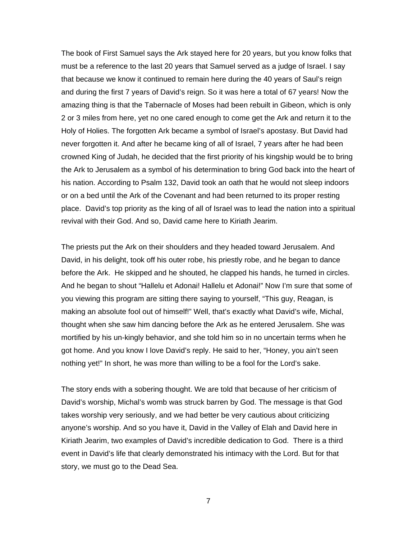The book of First Samuel says the Ark stayed here for 20 years, but you know folks that must be a reference to the last 20 years that Samuel served as a judge of Israel. I say that because we know it continued to remain here during the 40 years of Saul's reign and during the first 7 years of David's reign. So it was here a total of 67 years! Now the amazing thing is that the Tabernacle of Moses had been rebuilt in Gibeon, which is only 2 or 3 miles from here, yet no one cared enough to come get the Ark and return it to the Holy of Holies. The forgotten Ark became a symbol of Israel's apostasy. But David had never forgotten it. And after he became king of all of Israel, 7 years after he had been crowned King of Judah, he decided that the first priority of his kingship would be to bring the Ark to Jerusalem as a symbol of his determination to bring God back into the heart of his nation. According to Psalm 132, David took an oath that he would not sleep indoors or on a bed until the Ark of the Covenant and had been returned to its proper resting place. David's top priority as the king of all of Israel was to lead the nation into a spiritual revival with their God. And so, David came here to Kiriath Jearim.

The priests put the Ark on their shoulders and they headed toward Jerusalem. And David, in his delight, took off his outer robe, his priestly robe, and he began to dance before the Ark. He skipped and he shouted, he clapped his hands, he turned in circles. And he began to shout "Hallelu et Adonai! Hallelu et Adonai!" Now I'm sure that some of you viewing this program are sitting there saying to yourself, "This guy, Reagan, is making an absolute fool out of himself!" Well, that's exactly what David's wife, Michal, thought when she saw him dancing before the Ark as he entered Jerusalem. She was mortified by his un-kingly behavior, and she told him so in no uncertain terms when he got home. And you know I love David's reply. He said to her, "Honey, you ain't seen nothing yet!" In short, he was more than willing to be a fool for the Lord's sake.

The story ends with a sobering thought. We are told that because of her criticism of David's worship, Michal's womb was struck barren by God. The message is that God takes worship very seriously, and we had better be very cautious about criticizing anyone's worship. And so you have it, David in the Valley of Elah and David here in Kiriath Jearim, two examples of David's incredible dedication to God. There is a third event in David's life that clearly demonstrated his intimacy with the Lord. But for that story, we must go to the Dead Sea.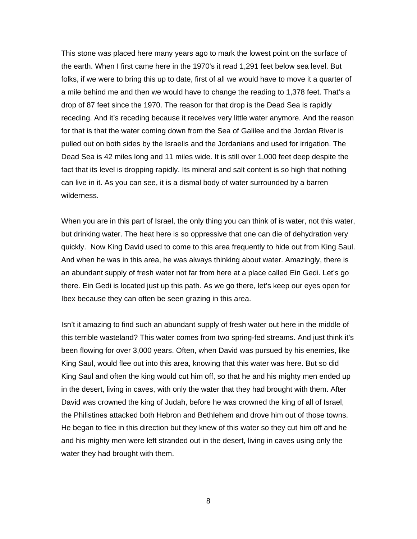This stone was placed here many years ago to mark the lowest point on the surface of the earth. When I first came here in the 1970's it read 1,291 feet below sea level. But folks, if we were to bring this up to date, first of all we would have to move it a quarter of a mile behind me and then we would have to change the reading to 1,378 feet. That's a drop of 87 feet since the 1970. The reason for that drop is the Dead Sea is rapidly receding. And it's receding because it receives very little water anymore. And the reason for that is that the water coming down from the Sea of Galilee and the Jordan River is pulled out on both sides by the Israelis and the Jordanians and used for irrigation. The Dead Sea is 42 miles long and 11 miles wide. It is still over 1,000 feet deep despite the fact that its level is dropping rapidly. Its mineral and salt content is so high that nothing can live in it. As you can see, it is a dismal body of water surrounded by a barren wilderness.

When you are in this part of Israel, the only thing you can think of is water, not this water, but drinking water. The heat here is so oppressive that one can die of dehydration very quickly. Now King David used to come to this area frequently to hide out from King Saul. And when he was in this area, he was always thinking about water. Amazingly, there is an abundant supply of fresh water not far from here at a place called Ein Gedi. Let's go there. Ein Gedi is located just up this path. As we go there, let's keep our eyes open for Ibex because they can often be seen grazing in this area.

Isn't it amazing to find such an abundant supply of fresh water out here in the middle of this terrible wasteland? This water comes from two spring-fed streams. And just think it's been flowing for over 3,000 years. Often, when David was pursued by his enemies, like King Saul, would flee out into this area, knowing that this water was here. But so did King Saul and often the king would cut him off, so that he and his mighty men ended up in the desert, living in caves, with only the water that they had brought with them. After David was crowned the king of Judah, before he was crowned the king of all of Israel, the Philistines attacked both Hebron and Bethlehem and drove him out of those towns. He began to flee in this direction but they knew of this water so they cut him off and he and his mighty men were left stranded out in the desert, living in caves using only the water they had brought with them.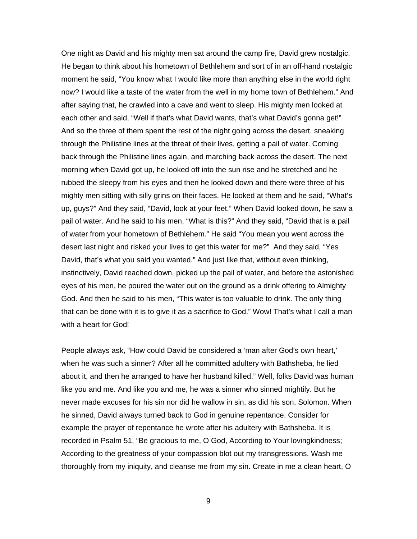One night as David and his mighty men sat around the camp fire, David grew nostalgic. He began to think about his hometown of Bethlehem and sort of in an off-hand nostalgic moment he said, "You know what I would like more than anything else in the world right now? I would like a taste of the water from the well in my home town of Bethlehem." And after saying that, he crawled into a cave and went to sleep. His mighty men looked at each other and said, "Well if that's what David wants, that's what David's gonna get!" And so the three of them spent the rest of the night going across the desert, sneaking through the Philistine lines at the threat of their lives, getting a pail of water. Coming back through the Philistine lines again, and marching back across the desert. The next morning when David got up, he looked off into the sun rise and he stretched and he rubbed the sleepy from his eyes and then he looked down and there were three of his mighty men sitting with silly grins on their faces. He looked at them and he said, "What's up, guys?" And they said, "David, look at your feet." When David looked down, he saw a pail of water. And he said to his men, "What is this?" And they said, "David that is a pail of water from your hometown of Bethlehem." He said "You mean you went across the desert last night and risked your lives to get this water for me?" And they said, "Yes David, that's what you said you wanted." And just like that, without even thinking, instinctively, David reached down, picked up the pail of water, and before the astonished eyes of his men, he poured the water out on the ground as a drink offering to Almighty God. And then he said to his men, "This water is too valuable to drink. The only thing that can be done with it is to give it as a sacrifice to God." Wow! That's what I call a man with a heart for God!

People always ask, "How could David be considered a 'man after God's own heart,' when he was such a sinner? After all he committed adultery with Bathsheba, he lied about it, and then he arranged to have her husband killed." Well, folks David was human like you and me. And like you and me, he was a sinner who sinned mightily. But he never made excuses for his sin nor did he wallow in sin, as did his son, Solomon. When he sinned, David always turned back to God in genuine repentance. Consider for example the prayer of repentance he wrote after his adultery with Bathsheba. It is recorded in Psalm 51, "Be gracious to me, O God, According to Your lovingkindness; According to the greatness of your compassion blot out my transgressions. Wash me thoroughly from my iniquity, and cleanse me from my sin. Create in me a clean heart, O